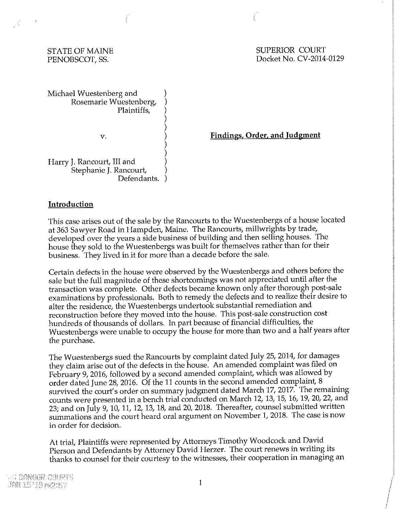$\frac{1}{2}$ 

 $\sim$  1

STATE OF MAINE SUPERIOR COURT PENOBSCOT, SS. Docket No. CV-2014-0129

Michael Wuestenberg and Rosemarie Wuestenberg, Plaintiffs,

V. 

**Findings, Order, and Judgment** 

Harry J. Rancourt, III and Stephanie J. Rancourt, Defendants. ) ) ) )

#### **Introduction**

This case arises out of the sale by the Rancourts to the Wuestenbergs of a house located at 363 Sawyer Road in Hampden, Maine. The Rancourts, millwrights by trade, developed over the years a side business of building and then selling houses. The house they sold to the Wuestenbergs was built for themselves rather than for their business. They lived in it for more than a decade before the sale.

) ) ) ) ) ) )

Certain defects in the house were observed by the Wuestenbergs and others before the sale but the full magnitude of these shortcomings was not appreciated until after the transaction was complete. Other defects became known only after thorough post-sale examinations by professionals. Both to remedy the defects and to realize their desire to alter the residence, the Wuestenbergs undertook substantial remediation and reconstruction before they moved into the house. This post-sale construction cost hundreds of thousands of dollars. In part because of financial difficulties, the Wuestenbergs were unable to occupy the house for more than two and a half years after the purchase.

The Wuestenbergs sued the Rancourts by complaint dated July 25, 2014, for damages they claim arise out of the defects in the house. An amended complaint was filed on February 9, 2016, followed by a second amended complaint, which was allowed by order dated June 28, 2016. Of the 11 counts in the second amended complaint, 8 survived the court's order on summary judgment dated March 17, 2017. The remaining counts were presented in a bench trial conducted on March 12, 13, 15, 16, 19, 20, 22, and 23; and on July 9, 10, 11, 12, 13, 18, and 20, 2018. Thereafter, counsel submitted written summations and the court heard oral argument on November 1, 2018. The case is now in order for decision.

At trial, Plaintiffs were represented by Attorneys Timothy Woodcock and David Pierson and Defendants by Attorney David Herzer. The court renews in writing its thanks to counsel for their courtesy to the witnesses, their cooperation in managing an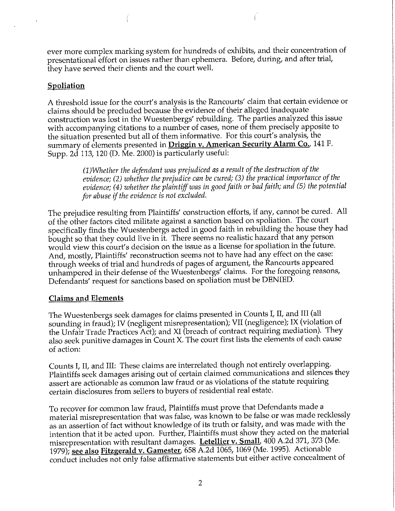ever more complex marking system for hundreds of exhibits, and their concentration of presentational effort on issues rather than ephemera. Before, during, and after trial, they have served their clients and the court well.

### **Spoliation**

A threshold issue for the court's analysis is the Rancourts' claim that certain evidence or claims should be precluded because the evidence of their alleged inadequate construction was lost in the Wuestenbergs' rebuilding. The parties analyzed this issue with accompanying citations to a number of cases, none of them precisely apposite to the situation presented but all of them informative. For this court's analysis, the summary of elements presented in **Driggin v. American Security Alarm Co.,** 141 F. Supp. 2d 113, 120 (D. Me. 2000) is particularly useful:

> *(l)Whether the defendant was prejudiced as a result of the destruction of the evidence; (2) whether the prejudice can be cured; (3) the practical importance of the evidence; (4) whether the plaintiff was in good faith or bad faith; and (5) the potential for abuse if the evidence* is *not excluded.*

The prejudice resulting from Plaintiffs' construction efforts, if any, cannot be cured. All of the other factors cited militate against a sanction based on spoliation. The court specifically finds the Wuestenbergs acted in good faith in rebuilding the house they had bought so that they could live in it. There seems no realistic hazard that any person would view this court's decision on the issue as a license for spoliation in the future. And, mostly, Plaintiffs' reconstruction seems not to have had any effect on the case: through weeks of trial and hundreds of pages of argument, the Rancourts appeared unhampered in their defense of the Wuestenbergs' claims. For the foregoing reasons, Defendants' request for sanctions based on spoliation must be DENIED.

## **Claims and Elements**

The Wuestenbergs seek damages for claims presented in Counts I, II, and III (all sounding in fraud); IV (negligent misrepresentation); VII (negligence); **IX** (violation of the Unfair Trade Practices Act); and XI (breach of contract requiring mediation). They also seek punitive damages in Count X. The court first lists the elements of each cause of action:

Counts I, II, and III: These claims are interrelated though not entirely overlapping. Plaintiffs seek damages arising out of certain claimed communications and silences they assert are actionable as common law fraud or as violations of the statute requiring certain disclosures from sellers to buyers of residential real estate.

To recover for common law fraud, Plaintiffs must prove that Defendants made a material misrepresentation that was false, was known to be false or was made recklessly as an assertion of fact without knowledge of its truth or falsity, and was made with the intention that it be acted upon. Further, Plaintiffs must show they acted on the material misrepresentation with resultant damages. **Letellier v. Small,** 400 A.2d 371, 373 (Me. 1979); **see also Fitzgerald v. Gamester,** 658 A.2d 1065, 1069 (Me. 1995). Actionable conduct includes not only false affirmative statements but either active concealment of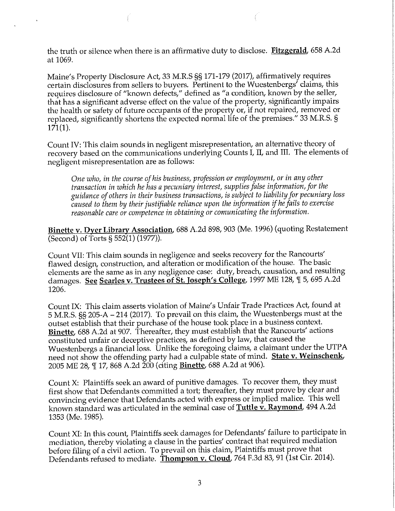the truth or silence when there is an affirmative duty to disclose. **Fitzgerald,** 658 A.2d at 1069.

Maine's Property Disclosure Act, 33 M.R.S §§ 171-179 (2017), affirmatively requires certain disclosures from sellers to buyers. Pertinent to the Wuestenbergs' claims, this requires disclosure of "known defects," defined as "a condition, known by the seller, that has a significant adverse effect on the value of the property, significantly impairs the health or safety of future occupants of the property or, if not repaired, removed or replaced, significantly shortens the expected normal life of the premises." 33 M.R.S. §  $171(1)$ .

Count IV: This claim sounds in negligent misrepresentation, an alternative theory of recovery based on the communications underlying Counts I, II, and III. The elements of negligent misrepresentation are as follows:

*One who, in the course of his business, profession or employment, or in any other transaction in which he has a pecuniary interest, supplies false information, for the guidance ofothers in their business transactions, is subject to liability for pecuniary loss caused to them by their justifiable reliance upon the information if he fails to exercise reasonable care or competence in obtaining or comunicating the information.* 

**Binette v. Dyer Library Association,** 688 A.2d 898,903 (Me. 1996) (quoting Restatement (Second) of Torts§ 552(1) (1977)).

Count VII: This claim sounds in negligence and seeks recovery for the Rancourts' flawed design, construction, and alteration or modification of the house. The basic elements are the same as in any negligence case: duty, breach, causation, and resulting damages. See Searles v. Trustees of St. Joseph's College, 1997 ME 128, 15, 695 A.2d 1206.

Count IX: This claim asserts violation of Maine's Unfair Trade Practices Act, found at 5 M.R.S. §§ 205-A - 214 (2017). To prevail on this claim, the Wuestenbergs must at the outset establish that their purchase of the house took place in a business context. **Binette,** 688 A.2d at 907. Thereafter, they must establish that the Rancourts' actions constituted unfair or deceptive practices, as defined by law, that caused the Wuestenbergs a financial loss. Unlike the foregoing claims, a claimant under the UTPA need not show the offending party had a culpable state of mind. **State v. Weinschenk,**  2005 ME 28, 'II 17, 868 A.2d 200 (citing **Binette,** 688 A.2d at 906).

Count X: Plaintiffs seek an award of punitive damages. To recover them, they must first show that Defendants committed a tort; thereafter, they must prove by clear and convincing evidence that Defendants acted with express or implied malice. This well known standard was articulated in the seminal case of **Tuttle v. Raymond,** 494 A.2d 1353 (Me. 1985).

Count XI: In this count, Plaintiffs seek damages for Defendants' failure to participate in mediation, thereby violating a clause in the parties' contract that required mediation before filing of a civil action. To prevail on this claim, Plaintiffs must prove that Defendants refused to mediate. **Thompson v. Cloud,** 764 F.3d 83, 91 (1st Cir. 2014).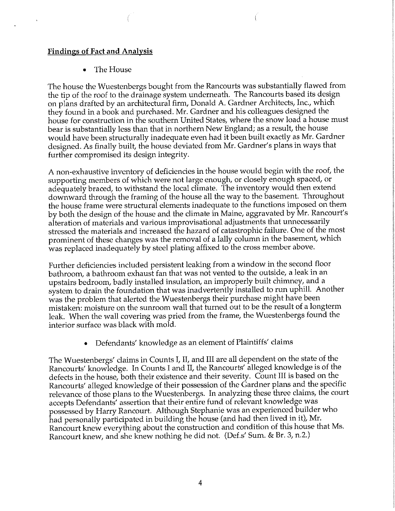#### **Findings of Fact and Analysis**

• The House

The house the Wuestenbergs bought from the Rancourts was substantially flawed from the tip of the roof to the drainage system underneath. The Rancourts based its design on plans drafted by an architectural firm, Donald A. Gardner Architects, Inc., which they found in a book and purchased. Mr. Gardner and his colleagues designed the house for construction in the southern United States, where the snow load a house must bear is substantially less than that in northern New England; as a result, the house would have been structurally inadequate even had it been built exactly as Mr. Gardner designed. As finally built, the house deviated from Mr. Gardner's plans in ways that further compromised its design integrity.

A non-exhaustive inventory of deficiencies in the house would begin with the roof, the supporting members of which were not large enough, or closely enough spaced, or adequately braced, to withstand the local climate. The inventory would then extend downward through the framing of the house all the way to the basement. Throughout the house frame were structural elements inadequate to the functions imposed on them by both the design of the house and the climate in Maine, aggravated by Mr. Rancourt's alteration of materials and various improvisational adjustments that unnecessarily stressed the materials and increased the hazard of catastrophic failure. One of the most prominent of these changes was the removal of a lally column in the basement, which was replaced inadequately by steel plating affixed to the cross member above.

Further deficiencies included persistent leaking from a window in the second floor bathroom, a bathroom exhaust fan that was not vented to the outside, a leak in an upstairs bedroom, badly installed insulation, an improperly built chimney, and a system to drain the foundation that was inadvertently installed to run uphill. Another was the problem that alerted the Wuestenbergs their purchase might have been mistaken: moisture on the sunroom wall that turned out to be the result of a longterm leak. When the wall covering was pried from the frame, the Wuestenbergs found the interior surface was black with mold.

• Defendants' knowledge as an element of Plaintiffs' claims

The Wuestenbergs' claims in Counts I, II, and III are all dependent on the state of the Rancourts' knowledge. In Counts I and II, the Rancourts' alleged knowledge is of the defects in the house, both their existence and their severity. Count III is based on the Rancourts' alleged knowledge of their possession of the Gardner plans and the specific relevance of those plans to the Wuestenbergs. In analyzing these three claims, the court accepts Defendants' assertion that their entire fund of relevant knowledge was possessed by Harry Rancourt. Although Stephanie was an experienced builder who had personally participated in building the house (and had then lived in it), Mr. Rancourt knew everything about the construction and condition of this house that Ms. Rancourt knew, and she knew nothing he did not. (Def.s' Sum. & Br. 3, n.2.)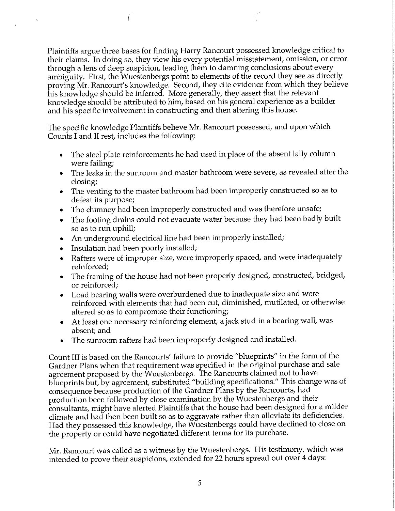Plaintiffs argue three bases for finding Harry Rancourt possessed knowledge critical to their claims. In doing so, they view his every potential misstatement, omission, or error through a lens of deep suspicion, leading them to damning conclusions about every ambiguity. First, the Wuestenbergs point to elements of the record they see as directly proving Mr. Rancourt's knowledge. Second, they cite evidence from which they believe his knowledge should be inferred. More generally, they assert that the relevant knowledge should be attributed to him, based on his general experience as a builder and his specific involvement in constructing and then altering this house.

The specific knowledge Plaintiffs believe Mr. Rancourt possessed, and upon which Counts I and II rest, includes the following:

- The steel plate reinforcements he had used in place of the absent lally column were failing;
- The leaks in the sunroom and master bathroom were severe, as revealed after the closing;
- The venting to the master bathroom had been improperly constructed so as to defeat its purpose;
- The chimney had been improperly constructed and was therefore unsafe;
- The footing drains could not evacuate water because they had been badly built so as to run uphill;
- An underground electrical line had been improperly installed;
- Insulation had been poorly installed;
- Rafters were of improper size, were improperly spaced, and were inadequately reinforced;
- The framing of the house had not been properly designed, constructed, bridged, or reinforced;
- Load bearing walls were overburdened due to inadequate size and were reinforced with elements that had been cut, diminished, mutilated, or otherwise altered so as to compromise their functioning;
- At least one necessary reinforcing element, a jack stud in a bearing wall, was absent; and
- The sunroom rafters had been improperly designed and installed.

Count III is based on the Rancourts' failure to provide "blueprints" in the form of the Gardner Plans when that requirement was specified in the original purchase and sale agreement proposed by the Wuestenbergs. The Rancourts claimed not to have blueprints but, by agreement, substituted "building specifications." This change was of consequence because production of the Gardner Plans by the Rancourts, had production been followed by close examination by the Wuestenbergs and their consultants, might have alerted Plaintiffs that the house had been designed for a milder climate and had then been built so as to aggravate rather than alleviate its deficiencies. Had they possessed this knowledge, the Wuestenbergs could have declined to close on the property or could have negotiated different terms for its purchase.

Mr. Rancourt was called as a witness by the Wuestenbergs. His testimony, which was intended to prove their suspicions, extended for 22 hours spread out over 4 days: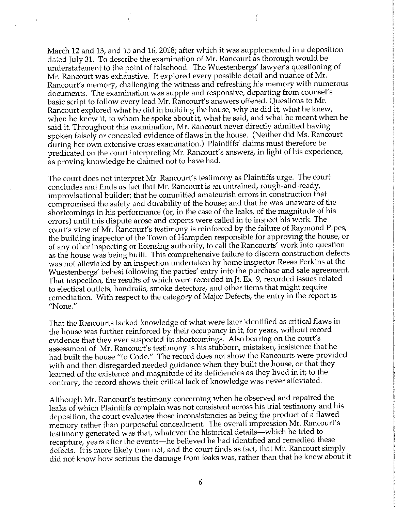March 12 and 13, and 15 and 16, 2018; after which it was supplemented in a deposition dated July 31. To describe the examination of Mr. Rancourt as thorough would be understatement to the point of falsehood. The Wuestenbergs' lawyer's questioning of Mr. Rancourt was exhaustive. It explored every possible detail and nuance of Mr. Rancourt's memory, challenging the witness and refreshing his memory with numerous documents. The examination was supple and responsive, departing from counsel's basic script to follow every lead Mr. Rancourt's answers offered. Questions to Mr. Rancourt explored what he did in building the house, why he did it, what he knew, when he knew it, to whom he spoke about it, what he said, and what he meant when he said it. Throughout this examination, Mr. Rancourt never directly admitted having spoken falsely or concealed evidence of flaws in the house. (Neither did Ms. Rancourt during her own extensive cross examination.) Plaintiffs' claims must therefore be predicated on the court interpreting Mr. Rancourt's answers, in light of his experience, as proving knowledge he claimed not to have had.

The court does not interpret Mr. Rancourt's testimony as Plaintiffs urge. The court concludes and finds as fact that Mr. Rancourt is an untrained, rough-and-ready, improvisational builder; that he committed amateurish errors in construction that compromised the safety and durability of the house; and that he was unaware of the shortcomings in his performance (or, in the case of the leaks, of the magnitude of his errors) until this dispute arose and experts were called in to inspect his work. The court's view of Mr. Rancourt's testimony is reinforced by the failure of Raymond Pipes, the building inspector of the Town of Hampden responsible for approving the house, or of any other inspecting or licensing authority, to call the Rancourts' work into question as the house was being built. This comprehensive failure to discern construction defects was not alleviated by an inspection undertaken by home inspector Reese Perkins at the Wuestenbergs' behest following the parties' entry into the purchase and sale agreement. That inspection, the results of which were recorded in Jt. Ex. 9, recorded issues related to electical outlets, handrails, smoke detectors, and other items that might require remediation. With respect to the category of Major Defects, the entry in the report is **"None."** 

That the Rancourts lacked knowledge of what were later identified as critical flaws in the house was further reinforced by their occupancy in it, for years, without record evidence that they ever suspected its shortcomings. Also bearing on the court's assessment of Mr. Rancourt's testimony is his stubborn, mistaken, insistence that he had built the house "to Code." The record does not show the Rancourts were provided with and then disregarded needed guidance when they built the house, or that they learned of the existence and magnitude of its deficiencies as they lived in it; to the contrary, the record shows their critical lack of knowledge was never alleviated.

Although Mr. Rancourt's testimony concerning when he observed and repaired the leaks of which Plaintiffs complain was not consistent across his trial testimony and his deposition, the court evaluates those inconsistencies as being the product of a flawed memory rather than purposeful concealment. The overall impression Mr. Rancourt's testimony generated was that, whatever the historical details-which he tried to recapture, years after the events-he believed he had identified and remedied these defects. It is more likely than not, and the court finds as fact, that Mr. Rancourt simply did not know how serious the damage from leaks was, rather than that he knew about it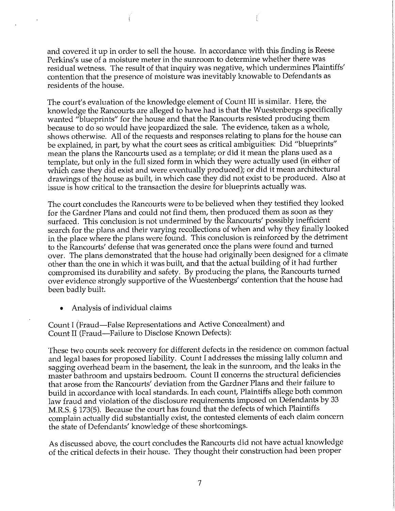and covered it up in order to sell the house. In accordance with this finding is Reese Perkins's use of a moisture meter in the sunroom to determine whether there was residual wetness. The result of that inquiry was negative, which undermines Plaintiffs' contention that the presence of moisture was inevitably knowable to Defendants as residents of the house.

The court's evaluation of the knowledge element of Count III is similar. Here, the knowledge the Rancourts are alleged to have had is that the Wuestenbergs specifically wanted "blueprints" for the house and that the Rancourts resisted producing them because to do so would have jeopardized the sale. The evidence, taken as a whole, shows otherwise. All of the requests and responses relating to plans for the house can be explained, in part, by what the court sees as critical ambiguities: Did "blueprints" mean the plans the Rancourts used as a template; or did it mean the plans used as a template, but only in the full sized form in which they were actually used (in either of which case they did exist and were eventually produced); or did it mean architectural drawings of the house as built, in which case they did not exist to be produced. Also at issue is how critical to the transaction the desire for blueprints actually was.

The court concludes the Rancourts were to be believed when they testified they looked for the Gardner Plans and could not find them, then produced them as soon as they surfaced. This conclusion is not undermined by the Rancourts' possibly inefficient search for the plans and their varying recollections of when and why they finally looked in the place where the plans were found. This conclusion is reinforced by the detriment to the Rancourts' defense that was generated once the plans were found and turned over. The plans demonstrated that the house had originally been designed for a climate other than the one in which it was built, and that the actual building of it had further compromised its durability and safety. By producing the plans, the Rancourts turned over evidence strongly supportive of the Wuestenbergs' contention that the house had been badly built.

• Analysis of individual claims

Count I (Fraud-False Representations and Active Concealment) and Count II (Fraud-Failure to Disclose Known Defects):

These two counts seek recovery for different defects in the residence on common factual and legal bases for proposed liability. Count I addresses the missing lally column and sagging overhead beam in the basement, the leak in the sunroom, and the leaks in the master bathroom and upstairs bedroom. Count II concerns the structural deficiencies that arose from the Rancourts' deviation from the Gardner Plans and their failure to build in accordance with local standards. In each count, Plaintiffs allege both common law fraud and violation of the disclosure requirements imposed on Defendants by 33 M.R.S. § 173(5). Because the court has found that the defects of which Plaintiffs complain actually did substantially exist, the contested elements of each claim concern the state of Defendants' knowledge of these shortcomings.

As discussed above, the court concludes the Rancourts did not have actual knowledge of the critical defects in their house. They thought their construction had been proper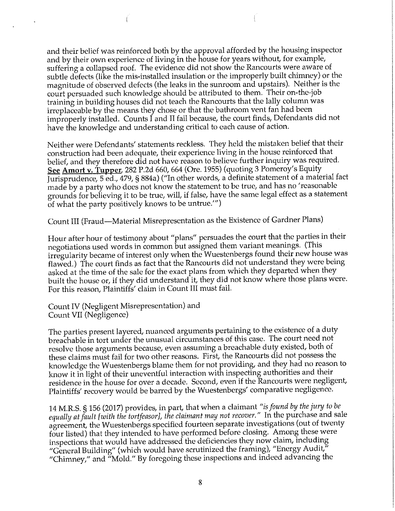and their belief was reinforced both by the approval afforded by the housing inspector and by their own experience of living in the house for years without, for example, suffering a collapsed roof. The evidence did not show the Rancourts were aware of subtle defects (like the mis-installed insulation or the improperly built chimney) or the magnitude of observed defects (the leaks in the sunroom and upstairs). Neither is the court persuaded such knowledge should be attributed to them. Their on-the-job training in building houses did not teach the Rancourts that the lally column was irreplaceable by the means they chose or that the bathroom vent fan had been improperly installed. Counts I and II fail because, the court finds, Defendants did not have the knowledge and understanding critical to each cause of action.

Neither were Defendants' statements reckless. They held the mistaken belief that their construction had been adequate, their experience living in the house reinforced that belief, and they therefore did not have reason to believe further inquiry was required. See Amort v. Tupper, 282 P.2d 660, 664 (Ore. 1955) (quoting 3 Pomeroy's Equity Jurisprudence, 5 ed., 479, § 884a) ("In other words, a definite statement of a material fact made by a party who does not know the statement to be true, and has no 'reasonable grounds for believing it to be true, will, if false, have the same legal effect as a statement of what the party positively knows to be untrue."')

Count III (Fraud-Material Misrepresentation as the Existence of Gardner Plans)

Hour after hour of testimony about "plans" persuades the court that the parties in their negotiations used words in common but assigned them variant meanings. (This irregularity became of interest only when the Wuestenbergs found their new house was flawed.) The court finds as fact that the Rancourts did not understand they were being asked at the time of the sale for the exact plans from which they departed when they built the house or, if they did understand it, they did not know where those plans were. For this reason, Plaintiffs' claim in Count III must fail.

Count IV (Negligent Misrepresentation) and Count VII (Negligence)

The parties present layered, nuanced arguments pertaining to the existence of a duty breachable in tort under the unusual circumstances of this case. The court need not resolve those arguments because, even assuming a breachable duty existed, both of these claims must fail for two other reasons. First, the Rancourts did not possess the knowledge the Wuestenbergs blame them for not providing, and they had no reason to know it in light of their uneventful interaction with inspecting authorities and their residence in the house for over a decade. Second, even if the Rancourts were negligent, Plaintiffs' recovery would be barred by the Wuestenbergs' comparative negligence.

14 M.R.S. § 156 (2017) provides, in part, that when a claimant *"is found by the jury to be equally at fault [with the tortfeasor], the claimant may not recover."* In the purchase and sale agreement, the Wuestenbergs specified fourteen separate investigations (out of twenty four listed) that they intended to have performed before closing. Among these were inspections that would have addressed the deficiencies they now claim, including "General Building" (which would have scrutinized the framing), "Energy Audit," "Chimney," and "Mold." By foregoing these inspections and indeed advancing the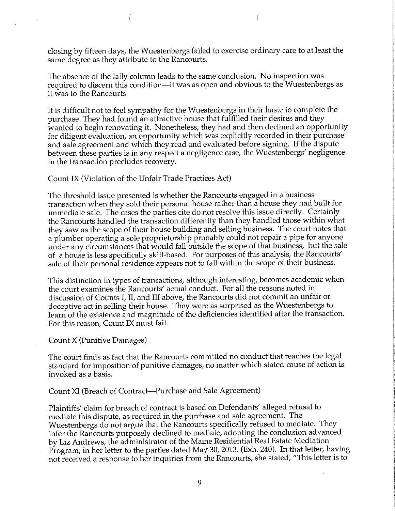closing by fifteen days, the Wuestenbergs failed to exercise ordinary care to at least the same degree as they attribute to the Rancourts.

The absence of the lally column leads to the same conclusion. No inspection was required to discern this condition—it was as open and obvious to the Wuestenbergs as it was to the Rancourts.

It is difficult not to feel sympathy for the Wuestenbergs in their haste to complete the purchase. They had found an attractive house that fulfilled their desires and they wanted to begin renovating it. Nonetheless, they had and then declined an opportunity for diligent evaluation, an opportunity which was explicitly recorded in their purchase and sale agreement and which they read and evaluated before signing. If the dispute between these parties is in any respect a negligence case, the Wuestenbergs' negligence in the transaction precludes recovery.

Count IX (Violation of the Unfair Trade Practices Act)

The threshold issue presented is whether the Rancourts engaged in a business transaction when they sold their personal house rather than a house they had built for immediate sale. The cases the parties cite do not resolve this issue directly. Certainly the Rancourts handled the transaction differently than they handled those within what they saw as the scope of their house building and selling business. The court notes that a plumber operating a sole proprietorship probably could not repair a pipe for anyone under any circumstances that would fall outside the scope of that business, but the sale of a house is less specifically skill-based. For purposes of this analysis, the Rancourts' sale of their personal residence appears not to fall within the scope of their business.

This distinction in types of transactions, although interesting, becomes academic when the court examines the Rancourts' actual conduct. For all the reasons noted in discussion of Counts I, II, and III above, the Rancourts did not commit an unfair or deceptive act in selling their house. They were as surprised as the Wuestenbergs to learn of the existence and magnitude of the deficiencies identified after the transaction. For this reason, Count IX must fail.

Count X (Punitive Damages)

The court finds as fact that the Rancourts committed no conduct that reaches the legal standard for imposition of punitive damages, no matter which stated cause of action is invoked as a basis.

Count XI (Breach of Contract-Purchase and Sale Agreement)

Plaintiffs' claim for breach of contract is based on Defendants' alleged refusal to mediate this dispute, as required in the purchase and sale agreement. The Wuestenbergs do not argue that the Rancourts specifically refused to mediate. They infer the Rancourts purposely declined to mediate, adopting the conclusion advanced by Liz Andrews, the administrator of the Maine Residential Real Estate Mediation Program, in her letter to the parties dated May 30, 2013. (Exh. 240). In that letter, having not received a response to her inquiries from the Rancourts, she stated, "This letter is to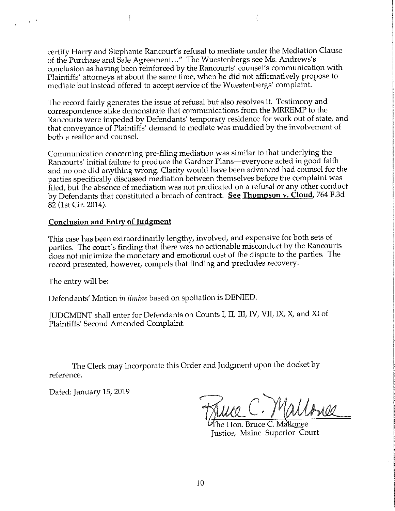certify Harry and Stephanie Rancourt's refusal to mediate under the Mediation Clause of the Purchase and Sale Agreement... " The Wuestenbergs see Ms. Andrews's conclusion as having been reinforced by the Rancourts' counsel's communication with Plaintiffs' attorneys at about the same time, when he did not affirmatively propose to mediate but instead offered to accept service of the Wuestenbergs' complaint.

The record fairly generates the issue of refusal but also resolves it. Testimony and correspondence alike demonstrate that communications from the MRREMP to the Rancourts were impeded by Defendants' temporary residence for work out of state, and that conveyance of Plaintiffs' demand to mediate was muddied by the involvement of both a realtor and counsel.

Communication concerning pre-filing mediation was similar to that underlying the Rancourts' initial failure to produce the Gardner Plans-everyone acted in good faith and no one did anything wrong. Clarity would have been advanced had counsel for the parties specifically discussed mediation between themselves before the complaint was filed, but the absence of mediation was not predicated on a refusal or any other conduct by Defendants that constituted a breach of contract. **See Thompson v. Cloud,** 764 F.3d 82 (1st Cir. 2014).

#### **Conclusion and Entry of Judgment**

This case has been extraordinarily lengthy, involved, and expensive for both sets of parties. The court's finding that there was no actionable misconduct by the Rancourts does not minimize the monetary and emotional cost of the dispute to the parties. The record presented, however, compels that finding and precludes recovery.

The entry will be:

 $\sim 10^{-10}$ 

Defendants' Motion *in limine* based on spoliation is DENIED.

JUDGMENT shall enter for Defendants on Counts I, II, III, IV, VII, **IX, X,** and XI of Plaintiffs' Second Amended Complaint.

The Clerk may incorporate this Order and Judgment upon the docket by reference.

Dated: January 15, 2019

he Hon. Bruce C. Ma`Nonee Justice, Maine Superior Court